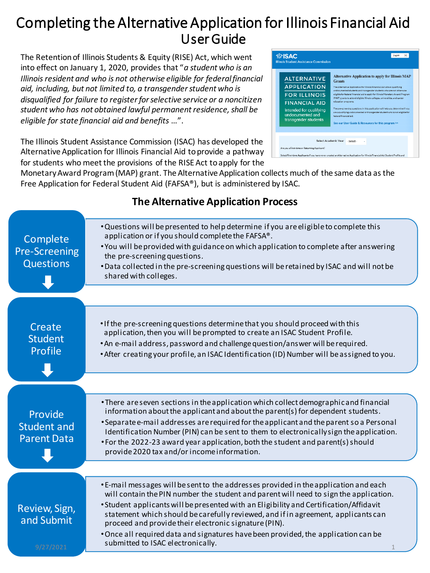### Completing the Alternative Application for Illinois Financial Aid User Guide

The Retention of Illinois Students & Equity (RISE) Act, which went into effect on January 1, 2020, provides that "*a student who is an Illinois resident and who is not otherwise eligible for federal financial aid, including, but not limited to, a transgender student who is disqualified for failure to register for selective service or a noncitizen student who has not obtained lawful permanent residence, shall be eligible for state financial aid and benefits* …".

The Illinois Student Assistance Commission (ISAC) has developed the Alternative Application for Illinois Financial Aid to provide a pathway for students who meet the provisions of the RISE Act to apply for the



Monetary Award Program (MAP) grant. The Alternative Application collects much of the same data as the Free Application for Federal Student Aid (FAFSA®), but is administered by ISAC.

#### •Questions will be presented to help determine if you are eligible to complete this application or if you should complete the FAFSA®. •You will be provided with guidance on which application to complete after answering the pre-screening questions. •Data collected in the pre-screening questions will be retained by ISAC and will not be shared with colleges. Complete Pre-Screening **Questions** •If the pre-screening questions determine that you should proceed with this application, then you will be prompted to create an ISAC Student Profile. •An e-mail address, password and challenge question/answer will be required. •After creating your profile, an ISAC Identification (ID) Number will be assigned to you. Create **Student** Profile •There are seven sections in the application which collect demographic and financial information about the applicant and about the parent(s) for dependent students. **Provide** Student and

### **The Alternative Application Process**

•Separate e-mail addresses are required for the applicant and the parent so a Personal Identification Number (PIN) can be sent to them to electronically sign the application. •For the 2022-23 award year application, both the student and parent(s) should provide 2020 tax and/or income information. Parent Data •E-mail messages will be sent to the addresses provided in the application and each will contain the PIN number the student and parent will need to sign the application. •Student applicants will be presented with an Eligibility and Certification/Affidavit statement which should be carefully reviewed, and if in agreement, applicants can proceed and provide their electronic signature (PIN). •Once all required data and signatures have been provided, the application can be submitted to ISAC electronically. Review, Sign, and Submit  $9/27/2021$  and solution of the created meanly.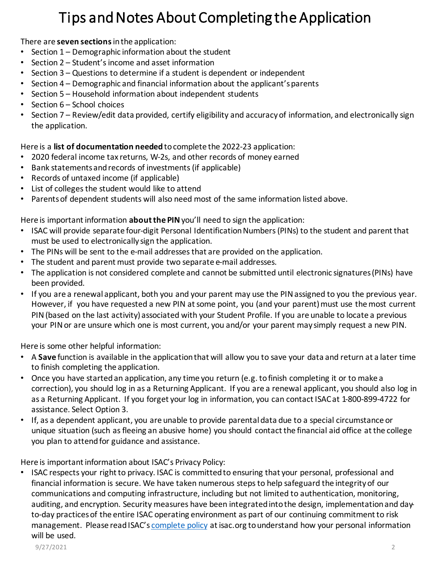### Tips and Notes About Completing the Application

#### There are **seven sections** in the application:

- Section 1 Demographic information about the student
- Section 2 Student's income and asset information
- Section 3 Questions to determine if a student is dependent or independent
- Section 4 Demographic and financial information about the applicant's parents
- Section 5 Household information about independent students
- Section 6 School choices
- Section 7 Review/edit data provided, certify eligibility and accuracy of information, and electronically sign the application.

#### Here is a **list of documentation needed** to complete the 2022-23 application:

- 2020 federal income tax returns, W-2s, and other records of money earned
- Bank statements and records of investments (if applicable)
- Records of untaxed income (if applicable)
- List of colleges the student would like to attend
- Parents of dependent students will also need most of the same information listed above.

Here is important information **about the PIN** you'll need to sign the application:

- ISAC will provide separate four-digit Personal Identification Numbers (PINs) to the student and parent that must be used to electronically sign the application.
- The PINs will be sent to the e-mail addresses that are provided on the application.
- The student and parent must provide two separate e-mail addresses.
- The application is not considered complete and cannot be submitted until electronic signatures (PINs) have been provided.
- If you are a renewal applicant, both you and your parent may use the PIN assigned to you the previous year. However, if you have requested a new PIN at some point, you (and your parent) must use the most current PIN (based on the last activity) associated with your Student Profile. If you are unable to locate a previous your PIN or are unsure which one is most current, you and/or your parent may simply request a new PIN.

Here is some other helpful information:

- A **Save** function is available in the application that will allow you to save your data and return at a later time to finish completing the application.
- Once you have started an application, any time you return (e.g. to finish completing it or to make a correction), you should log in as a Returning Applicant. If you are a renewal applicant, you should also log in as a Returning Applicant. If you forget your log in information, you can contact ISAC at 1-800-899-4722 for assistance. Select Option 3.
- If, as a dependent applicant, you are unable to provide parental data due to a special circumstance or unique situation (such as fleeing an abusive home) you should contact the financial aid office at the college you plan to attend for guidance and assistance.

Here is important information about ISAC's Privacy Policy:

• ISAC respects your right to privacy. ISAC is committed to ensuring that your personal, professional and financial information is secure. We have taken numerous steps to help safeguard the integrity of our communications and computing infrastructure, including but not limited to authentication, monitoring, auditing, and encryption. Security measures have been integrated into the design, implementation and dayto-day practices of the entire ISAC operating environment as part of our continuing commitment to risk management. Please read ISAC's [complete policy](https://www.isac.org/home/privacy-policy.html) at isac.org to understand how your personal information will be used.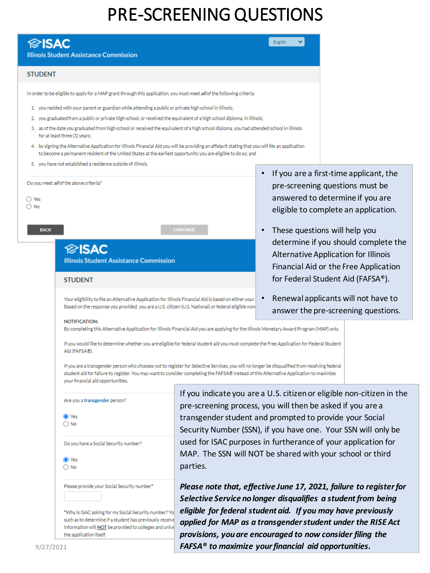## PRE-SCREENING QUESTIONS

| $\otimes$ ISAC<br><b>Illinois Student Assistance Commission</b>                                                                                                                                                                                                                          |                                                               | English                       |                                                                            |
|------------------------------------------------------------------------------------------------------------------------------------------------------------------------------------------------------------------------------------------------------------------------------------------|---------------------------------------------------------------|-------------------------------|----------------------------------------------------------------------------|
| <b>STUDENT</b>                                                                                                                                                                                                                                                                           |                                                               |                               |                                                                            |
| In order to be eligible to apply for a MAP grant through this application, you must meet all of the following criteria:                                                                                                                                                                  |                                                               |                               |                                                                            |
| 1. you resided with your parent or guardian while attending a public or private high school in Illinois;                                                                                                                                                                                 |                                                               |                               |                                                                            |
| 2. you graduated from a public or private high school, or received the equivalent of a high school diploma, in Illinois;                                                                                                                                                                 |                                                               |                               |                                                                            |
| 3. as of the date you graduated from high school or received the equivalent of a high school diploma, you had attended school in Illinois<br>for at least three (3) years;                                                                                                               |                                                               |                               |                                                                            |
| 4. by signing the Alternative Application for Illinois Financial Aid you will be providing an affidavit stating that you will file an application<br>to become a permanent resident of the United States at the earliest opportunity you are eligible to do so; and                      |                                                               |                               |                                                                            |
| 5. you have not established a residence outside of Illinois.                                                                                                                                                                                                                             |                                                               |                               |                                                                            |
| Do you meet all of the above criteria?                                                                                                                                                                                                                                                   |                                                               |                               | If you are a first-time applicant, the                                     |
|                                                                                                                                                                                                                                                                                          |                                                               |                               | pre-screening questions must be                                            |
| ◯ Yes<br>$\bigcirc$ No                                                                                                                                                                                                                                                                   |                                                               |                               | answered to determine if you are                                           |
|                                                                                                                                                                                                                                                                                          |                                                               |                               | eligible to complete an application.                                       |
| <b>BACK</b>                                                                                                                                                                                                                                                                              | <b>CONTINUE</b>                                               | These questions will help you |                                                                            |
|                                                                                                                                                                                                                                                                                          |                                                               |                               | determine if you should complete the                                       |
| <b><i><del></del></i></b> isac                                                                                                                                                                                                                                                           |                                                               |                               | Alternative Application for Illinois                                       |
| <b>Illinois Student Assistance Commission</b>                                                                                                                                                                                                                                            |                                                               |                               | Financial Aid or the Free Application                                      |
| <b>STUDENT</b>                                                                                                                                                                                                                                                                           |                                                               |                               | for Federal Student Aid (FAFSA®).                                          |
| Your eligibility to file an Alternative Application for Illinois Financial Aid is based on either your<br>Based on the response you provided, you are a U.S. citizen (U.S. National) or federal eligible non(                                                                            |                                                               |                               | Renewal applicants will not have to<br>answer the pre-screening questions. |
| NOTIFICATION:                                                                                                                                                                                                                                                                            |                                                               |                               |                                                                            |
| By completing this Alternative Application for Illinois Financial Aid you are applying for the Illinois Monetary Award Program (MAP) only.                                                                                                                                               |                                                               |                               |                                                                            |
| If you would like to determine whether you are eligible for federal student aid you must complete the Free Application for Federal Student<br>Aid (FAFSA®).                                                                                                                              |                                                               |                               |                                                                            |
| If you are a transgender person who chooses not to register for Selective Services, you will no longer be disqualified from receiving federal<br>student aid for failure to register. You may want to consider completing the FAFSA® instead of this Alternative Application to maximize |                                                               |                               |                                                                            |
| your financial aid opportunities.                                                                                                                                                                                                                                                        |                                                               |                               |                                                                            |
| Are you a transgender person?                                                                                                                                                                                                                                                            | pre-screening process, you will then be asked if you are a    |                               | If you indicate you are a U.S. citizen or eligible non-citizen in the      |
| O Yes                                                                                                                                                                                                                                                                                    | transgender student and prompted to provide your Social       |                               |                                                                            |
| $\bigcirc$ No                                                                                                                                                                                                                                                                            | Security Number (SSN), if you have one. Your SSN will only be |                               |                                                                            |
| Do you have a Social Security number?                                                                                                                                                                                                                                                    | used for ISAC purposes in furtherance of your application for |                               |                                                                            |
| ◯ Yes                                                                                                                                                                                                                                                                                    | MAP. The SSN will NOT be shared with your school or third     |                               |                                                                            |
| $\bigcirc$ No                                                                                                                                                                                                                                                                            | parties.                                                      |                               |                                                                            |
| Please provide your Social Security number*                                                                                                                                                                                                                                              | Selective Service no longer disqualifies a student from being |                               | Please note that, effective June 17, 2021, failure to register for         |
| *Why is ISAC asking for my Social Security number? Yo                                                                                                                                                                                                                                    | eligible for federal student aid. If you may have previously  |                               |                                                                            |

*applied for MAP as a transgender student under the RISE Act provisions, you are encouraged to now consider filing the* 

9/27/2021 **3/27/2021 3/27/2021 3/27/2021 3/27/2021 3/27/2021 3/3/27/2021 3/3/3/3/27/2021** 

the application itself.

such as to determine if a student has previously receive information will NOT be provided to colleges and unive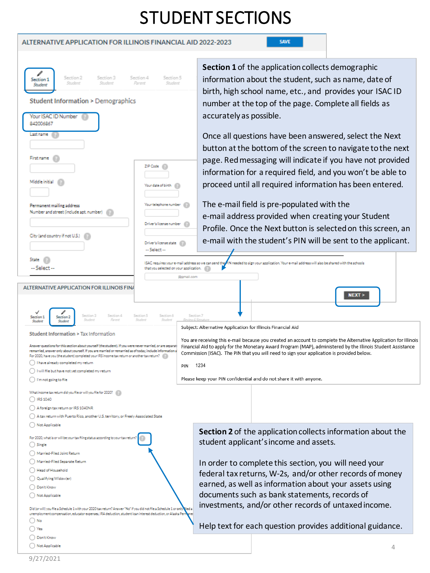## STUDENT SECTIONS

#### ALTERNATIVE APPLICATION FOR ILLINOIS FINANCIAL AID 2022-2023

SAVE

| Section 2<br>Section 3<br>Section 1<br>Student<br>Student<br><b>Student</b>                                                                                                                                                       | Section 5<br>Section 4<br>Parent<br>Student |                         | Section 1 of the application collects demographic<br>information about the student, such as name, date of         |  |  |  |
|-----------------------------------------------------------------------------------------------------------------------------------------------------------------------------------------------------------------------------------|---------------------------------------------|-------------------------|-------------------------------------------------------------------------------------------------------------------|--|--|--|
|                                                                                                                                                                                                                                   |                                             |                         | birth, high school name, etc., and provides your ISAC ID                                                          |  |  |  |
| <b>Student Information &gt; Demographics</b>                                                                                                                                                                                      |                                             |                         |                                                                                                                   |  |  |  |
|                                                                                                                                                                                                                                   |                                             |                         | number at the top of the page. Complete all fields as                                                             |  |  |  |
| Your ISAC ID Number<br>842006867                                                                                                                                                                                                  |                                             | accurately as possible. |                                                                                                                   |  |  |  |
|                                                                                                                                                                                                                                   |                                             |                         |                                                                                                                   |  |  |  |
| Last name                                                                                                                                                                                                                         |                                             |                         | Once all questions have been answered, select the Next                                                            |  |  |  |
|                                                                                                                                                                                                                                   |                                             |                         | button at the bottom of the screen to navigate to the next                                                        |  |  |  |
| <b>First name</b>                                                                                                                                                                                                                 |                                             |                         |                                                                                                                   |  |  |  |
|                                                                                                                                                                                                                                   | ZIP Code                                    |                         | page. Red messaging will indicate if you have not provided                                                        |  |  |  |
|                                                                                                                                                                                                                                   |                                             |                         | information for a required field, and you won't be able to                                                        |  |  |  |
| Middle initial                                                                                                                                                                                                                    | Your date of birth                          |                         | proceed until all required information has been entered.                                                          |  |  |  |
|                                                                                                                                                                                                                                   |                                             |                         |                                                                                                                   |  |  |  |
| Permanent mailing address                                                                                                                                                                                                         | Your telephone number                       |                         | The e-mail field is pre-populated with the                                                                        |  |  |  |
| Number and street (include apt. number)                                                                                                                                                                                           |                                             |                         |                                                                                                                   |  |  |  |
|                                                                                                                                                                                                                                   | Driver's license number                     |                         | e-mail address provided when creating your Student                                                                |  |  |  |
|                                                                                                                                                                                                                                   |                                             |                         | Profile. Once the Next button is selected on this screen, an                                                      |  |  |  |
| City (and country if not U.S.)                                                                                                                                                                                                    |                                             |                         | e-mail with the student's PIN will be sent to the applicant.                                                      |  |  |  |
|                                                                                                                                                                                                                                   | Driver's license state (F)<br>-- Select --  |                         |                                                                                                                   |  |  |  |
| State                                                                                                                                                                                                                             |                                             |                         |                                                                                                                   |  |  |  |
| ISAC requires your e-mail address so we can send the PIN needed to sign your application. Your e-mail address will also be shared with the schools<br>-- Select --<br>that you selected on your application.                      |                                             |                         |                                                                                                                   |  |  |  |
|                                                                                                                                                                                                                                   |                                             | @omail.com              |                                                                                                                   |  |  |  |
|                                                                                                                                                                                                                                   |                                             |                         |                                                                                                                   |  |  |  |
| ALTERNATIVE APPLICATION FOR ILLINOIS FINA                                                                                                                                                                                         |                                             |                         | NEXT                                                                                                              |  |  |  |
|                                                                                                                                                                                                                                   |                                             |                         |                                                                                                                   |  |  |  |
| Section 3<br>Section 4<br>Section 1<br>Section 2<br>Student<br>Parent<br>Student<br>Student                                                                                                                                       | Section 5<br>Section 6<br>Student           | Section 7               |                                                                                                                   |  |  |  |
| Subject: Alternative Application for Illinois Financial Aid                                                                                                                                                                       |                                             |                         |                                                                                                                   |  |  |  |
| Student Information > Tax Information                                                                                                                                                                                             |                                             |                         | You are receiving this e-mail because you created an account to complete the Alternative Application for Illinois |  |  |  |
| Answer questions for this section about vourself (the student). If you were never married, or are separat                                                                                                                         |                                             |                         | Financial Aid to apply for the Monetary Award Program (MAP), administered by the Illinois Student Assistance      |  |  |  |
| remarried, answer only about yourself. If you are married or remarried as of today, include information a<br>For 2020, have you (the student) completed your IRS income tax return or another tax return?                         |                                             |                         | Commission (ISAC). The PIN that you will need to sign your application is provided below.                         |  |  |  |
| () I have already completed my return<br>PIN                                                                                                                                                                                      |                                             | 1234                    |                                                                                                                   |  |  |  |
| $\bigcap$ I will file but have not yet completed my return                                                                                                                                                                        |                                             |                         |                                                                                                                   |  |  |  |
| ( ) I'm not going to file                                                                                                                                                                                                         |                                             |                         | Please keep your PIN confidential and do not share it with anyone.                                                |  |  |  |
| What income tax return did you file or will you file for 2020?                                                                                                                                                                    |                                             |                         |                                                                                                                   |  |  |  |
| $()$ IRS 1040                                                                                                                                                                                                                     |                                             |                         |                                                                                                                   |  |  |  |
| ( ) A foreign tax return or IRS 1040NR                                                                                                                                                                                            |                                             |                         |                                                                                                                   |  |  |  |
| $\bigcirc$ A tax return with Puerto Rico, another U.S. territory, or Freely Associated State                                                                                                                                      |                                             |                         |                                                                                                                   |  |  |  |
| Not Applicable                                                                                                                                                                                                                    |                                             |                         | Section 2 of the application collects information about the                                                       |  |  |  |
| For 2020, what is or will be your tax filing status according to your tax return?<br>$\bigcirc$ Single                                                                                                                            |                                             |                         | student applicant's income and assets.                                                                            |  |  |  |
| Married-Filed Joint Return                                                                                                                                                                                                        |                                             |                         |                                                                                                                   |  |  |  |
| Married-Filed Separate Return                                                                                                                                                                                                     |                                             |                         | In order to complete this section, you will need your                                                             |  |  |  |
| Head of Household                                                                                                                                                                                                                 |                                             |                         | federal tax returns, W-2s, and/or other records of money                                                          |  |  |  |
| Qualifying Widow(er)                                                                                                                                                                                                              |                                             |                         | earned, as well as information about your assets using                                                            |  |  |  |
| Don't Know                                                                                                                                                                                                                        |                                             |                         |                                                                                                                   |  |  |  |
| ) Not Applicable                                                                                                                                                                                                                  |                                             |                         | documents such as bank statements, records of                                                                     |  |  |  |
| Did (or will) you file a Schedule 1 with your 2020 tax return? Answer "No" if you did not file a Schedule 1 or onl<br>unemployment compensation, educator expenses, IRA deduction, student loan interest deduction, or Alaska Per |                                             | led a                   | investments, and/or other records of untaxed income.                                                              |  |  |  |
| () No                                                                                                                                                                                                                             |                                             |                         | Help text for each question provides additional guidance.                                                         |  |  |  |
| ( ) Yes                                                                                                                                                                                                                           |                                             |                         |                                                                                                                   |  |  |  |
| ( )Don't Know                                                                                                                                                                                                                     |                                             |                         |                                                                                                                   |  |  |  |
| ( ) Not Applicable                                                                                                                                                                                                                |                                             |                         | 4                                                                                                                 |  |  |  |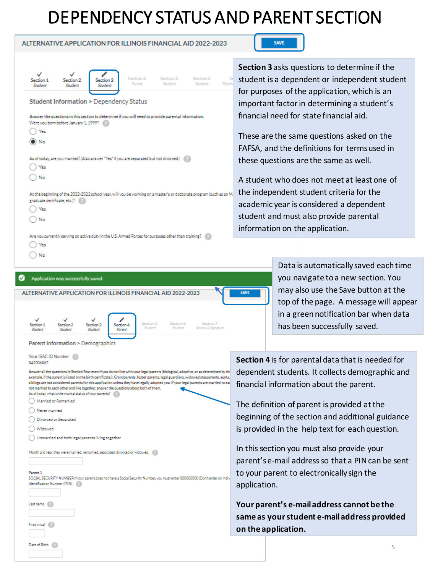## DEPENDENCY STATUS AND PARENT SECTION

| ALTERNATIVE APPLICATION FOR ILLINOIS FINANCIAL AID 2022-2023                                                                                                                                      |                   |
|---------------------------------------------------------------------------------------------------------------------------------------------------------------------------------------------------|-------------------|
| Section 4<br>Section 5<br>Section 6<br>5<br>Section 1<br>Section 2<br>Section 3<br>Revie<br>Student<br>Student<br>Parent<br>Student<br>Student<br>Student                                         | $S_0$<br>st<br>fc |
| <b>Student Information &gt; Dependency Status</b><br>Answer the questions in this section to determine if you will need to provide parental information.<br>Were you born before January 1, 1999? | in<br>fi          |
| Yes<br>D) No                                                                                                                                                                                      | т<br>F,           |
| As of today, are you married? (Also answer "Yes" if you are separated but not divorced.) [17]<br>Yes<br>No                                                                                        | tł<br>A           |
| At the beginning of the 2022-2023 school year, will you be working on a master's or doctorate program (such as an M<br>graduate certificate, etc.)?<br>Yes                                        | tł<br>a           |
| No<br>Are you currently serving on active duty in the U.S. Armed Forces for purposes other than training?                                                                                         | st<br>in          |
| Yes<br>No                                                                                                                                                                                         |                   |

### **SAVE**

**Section 3** asks questions to determine if the udent is a dependent or independent student or purposes of the application, which is an nportant factor in determining a student's nancial need for state financial aid.

hese are the same questions asked on the FAFSA, and the definitions for terms used in nese questions are the same as well.

student who does not meet at least one of ne independent student criteria for the cademic year is considered a dependent udent and must also provide parental iformation on the application.

> Data is automatically saved each time you navigate to a new section. You may also use the Save button at the top of the page. A message will appear

in a green notification bar when data has been successfully saved.

Answer all the questions in Section Four even if you do not live with your legal parents (biological, adoptive, or as determined by the example, if the parent is listed on the birth certificate]). Grandparents, foster parents, legal guardians, widowed stepparents, aunts siblings are not considered parents for this application unless they have legally adopted you. If your legal parents are married to eac not married to each other and live together, answer the questions about both of them. As of today, what is the marital status of your parents? ◯ Married or Remarried

ALTERNATIVE APPLICATION FOR ILLINOIS FINANCIAL AID 2022-2023

 $ection 3$ 

Stranbord

Section 4

Parent

Section 5

Section 7

 $\bigcirc$  Never married

Divorced or Separated

Your ISAC ID Number 842006867

Application was successfully saved.

Parent Information > Demographics

◯ Widowed

ection 1

Date of Birth

Last name

First initial (Fill)

O Unmarried and both legal parents living together

Month and year they were married, remarried, separated, divorced or widowed. (

Parent 1 SOCIAL SECURITY NUMBER If your parent does not have a Social Security Number, you must enter 00000000 (Don't enter an Indiv Identification Number (ITIN).

**Section 4** is for parental data that is needed for dependent students. It collects demographic and financial information about the parent.

The definition of parent is provided at the beginning of the section and additional guidance is provided in the help text for each question.

In this section you must also provide your parent's e-mail address so that a PIN can be sent to your parent to electronically sign the application.

**Your parent's e-mail address cannot be the same as yourstudent e-mail address provided on the application.**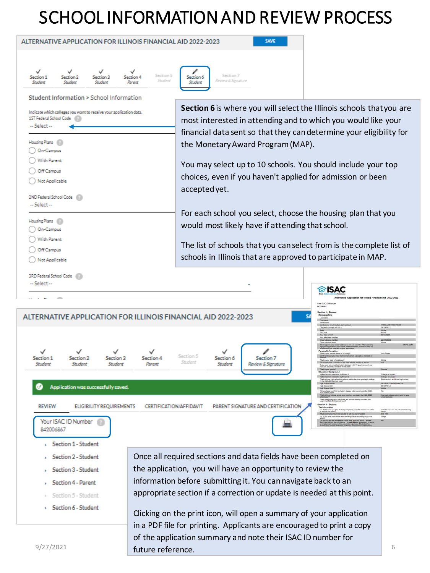# SCHOOL INFORMATION AND REVIEW PROCESS

| ALTERNATIVE APPLICATION FOR ILLINOIS FINANCIAL AID 2022-2023                                                       | <b>SAVE</b>                                                                                                                                                                                                                                                                           |
|--------------------------------------------------------------------------------------------------------------------|---------------------------------------------------------------------------------------------------------------------------------------------------------------------------------------------------------------------------------------------------------------------------------------|
|                                                                                                                    |                                                                                                                                                                                                                                                                                       |
| ✓<br>✓<br>Section 5<br>Section 1<br>Section 2<br>Section 3<br>Section 4<br>Student<br>Parent<br>Student<br>Student | Section 7<br>Section 6<br>Review & Signature<br>Student                                                                                                                                                                                                                               |
|                                                                                                                    |                                                                                                                                                                                                                                                                                       |
| Student Information > School Information                                                                           |                                                                                                                                                                                                                                                                                       |
| Indicate which colleges you want to receive your application data.<br>1ST Federal School Code<br>-- Select --      | Section 6 is where you will select the Illinois schools that you are<br>most interested in attending and to which you would like your                                                                                                                                                 |
|                                                                                                                    | financial data sent so that they can determine your eligibility for                                                                                                                                                                                                                   |
| Housing Plans                                                                                                      | the Monetary Award Program (MAP).                                                                                                                                                                                                                                                     |
| On-Campus<br>With Parent                                                                                           |                                                                                                                                                                                                                                                                                       |
| Off Campus                                                                                                         | You may select up to 10 schools. You should include your top                                                                                                                                                                                                                          |
| Not Applicable                                                                                                     | choices, even if you haven't applied for admission or been                                                                                                                                                                                                                            |
|                                                                                                                    | accepted yet.                                                                                                                                                                                                                                                                         |
| 2ND Federal School Code<br>-- Select --                                                                            |                                                                                                                                                                                                                                                                                       |
|                                                                                                                    | For each school you select, choose the housing plan that you                                                                                                                                                                                                                          |
| Housing Plans                                                                                                      | would most likely have if attending that school.                                                                                                                                                                                                                                      |
| On-Campus<br><b>With Parent</b>                                                                                    |                                                                                                                                                                                                                                                                                       |
| Off Campus                                                                                                         | The list of schools that you can select from is the complete list of                                                                                                                                                                                                                  |
| Not Applicable                                                                                                     | schools in Illinois that are approved to participate in MAP.                                                                                                                                                                                                                          |
|                                                                                                                    |                                                                                                                                                                                                                                                                                       |
| 3RD Federal School Code<br>-- Select --                                                                            |                                                                                                                                                                                                                                                                                       |
|                                                                                                                    | raisac⊗                                                                                                                                                                                                                                                                               |
|                                                                                                                    | ve Application for Illinois Financial Aid 2022-202<br>Your ISAC ID Numbe<br>542006867                                                                                                                                                                                                 |
| ALTERNATIVE APPLICATION FOR ILLINOIS FINANCIAL AID 2022-2023                                                       | lection 1 - Studen                                                                                                                                                                                                                                                                    |
|                                                                                                                    | 1755 LAKE COOK R<br>DEERFIELD                                                                                                                                                                                                                                                         |
|                                                                                                                    |                                                                                                                                                                                                                                                                                       |
|                                                                                                                    |                                                                                                                                                                                                                                                                                       |
| Section 1<br>Section 2<br>Section 3<br>Section 4                                                                   | an Sing<br>Section 5<br>Section 6<br>Section 7<br>Shudent<br>and of this situate business increases it. ShirtPl                                                                                                                                                                       |
| Student<br>Student<br>Student<br>Parent                                                                            | Student<br>Review & Signature<br>s not a resident before January 1, 2017 give the month and<br>ucation Background                                                                                                                                                                     |
|                                                                                                                    | isticm status be when you begin college                                                                                                                                                                                                                                               |
| Application was successfully saved.                                                                                | High School City?<br>High School State?<br>Will you have your first bacheter's degree before you begin the $2022-2027$ achievity year college grade level for when you begin the $2022-2023$<br>What will year $7$                                                                    |
| <b>REVIEW</b><br>CERTIFICATION/AFFIDAVIT<br><b>ELIGIBILITY REQUIREMENTS</b>                                        | What college degree or certificate will you be working on when you begin the 2022-2023 school year?<br>Section 2 - Student<br>PARENT SIGNATURE AND CERTIFICATION                                                                                                                      |
|                                                                                                                    | For 2020, have you (the student) completed your IRS income tax return<br>I will file but have not yet completed my<br>What income tax return did you file or will you file for 2020?<br><b>PIS 1040</b><br>For 2020, what is or will be your last filing status according to your tax |
| Your ISAC ID Number<br>842006867                                                                                   | reform will you like a Schedule 1 with your 2020 has ration? Amount 2010 if you did not file a Schedule 1 to report<br>"No" if you did not file a Schedule 1 or enty filed a Schedule 1 to report<br>unumpayment compensation, or Al                                                  |
| Section 1 - Student                                                                                                |                                                                                                                                                                                                                                                                                       |
| Section 2 - Student                                                                                                | Once all required sections and data fields have been completed on                                                                                                                                                                                                                     |
| Section 3 - Student                                                                                                | the application, you will have an opportunity to review the                                                                                                                                                                                                                           |
| <b>Section 4 - Parent</b>                                                                                          | information before submitting it. You can navigate back to an                                                                                                                                                                                                                         |

- > Section 5 Student
- > Section 6 Student

information before submitting it. You can navigate back to an appropriate section if a correction or update is needed at this point.

 $9/27/2021$  future reference. Clicking on the print icon, will open a summary of your application in a PDF file for printing. Applicants are encouraged to print a copy of the application summary and note their ISAC ID number for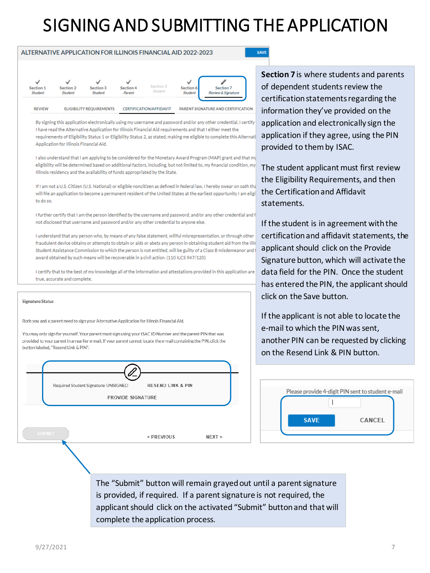## SIGNING AND SUBMITTING THE APPLICATION

SAVE

| Section 1<br><b>Student</b> | Section 2<br><b>Student</b> | Section 3<br><b>Student</b>     | Section 4<br>Parent | Section 5<br>Student           | v<br>Section 6<br><b>Student</b> | Section 7<br><b>Review &amp; Signature</b> |
|-----------------------------|-----------------------------|---------------------------------|---------------------|--------------------------------|----------------------------------|--------------------------------------------|
| <b>REVIEW</b>               |                             | <b>ELIGIBILITY REQUIREMENTS</b> |                     | <b>CERTIFICATION/AFFIDAVIT</b> |                                  | PARENT SIGNATURE AND CERTIFICATION         |

ALTERNATIVE APPLICATION FOR ILLINOIS FINANCIAL AID 2022-2023

By signing this application electronically using my username and password and/or any other credential, I certify I have read the Alternative Application for Illinois Financial Aid requirements and that I either meet the requirements of Eligibility Status 1 or Eligibility Status 2, as stated, making me eligible to complete this Alternati Application for Illinois Financial Aid.

I also understand that I am applying to be considered for the Monetary Award Program (MAP) grant and that my eligibility will be determined based on additional factors, including, but not limited to, my financial condition, my Illinois residency and the availability of funds appropriated by the State.

If I am not a U.S. Citizen (U.S. National) or eligible noncitizen as defined in federal law. I hereby swear on oath that will file an application to become a permanent resident of the United States at the earliest opportunity I am eligi to do so

I further certify that I am the person identified by the username and password, and/or any other credential and I not disclosed that username and password and/or any other credential to anyone else.

I understand that any person who, by means of any false statement, willful misrepresentation, or through other fraudulent device obtains or attempts to obtain or aids or abets any person in obtaining student aid from the Illir Student Assistance Commission to which the person is not entitled, will be guilty of a Class B misdemeanor and award obtained by such means will be recoverable in a civil action. (110 ILCS 947/120)

I certify that to the best of my knowledge all of the information and attestations provided in this application are true, accurate and complete.

#### Signature Status

Both you and a parent need to sign your Alternative Application for Illinois Financial Aid.

You may only sign for yourself. Your parent must sign using your ISAC ID Number and the parent PIN that was provided to your parent in an earlier e-mail. If your parent cannot locate the e-mail containing the PIN, click the button labeled, "Resend Link & PIN".



**Section 7** is where students and parents of dependent students review the certification statements regarding the information they've provided on the application and electronically sign the application if they agree, using the PIN provided to them by ISAC.

The student applicant must first review the Eligibility Requirements, and then the Certification and Affidavit statements.

If the student is in agreement with the certification and affidavit statements, the applicant should click on the Provide Signature button, which will activate the data field for the PIN. Once the student has entered the PIN, the applicant should click on the Save button.

If the applicant is not able to locate the e-mail to which the PIN was sent, another PIN can be requested by clicking on the Resend Link & PIN button.



The "Submit" button will remain grayed out until a parent signature is provided, if required. If a parent signature is not required, the applicant should click on the activated "Submit" button and that will complete the application process.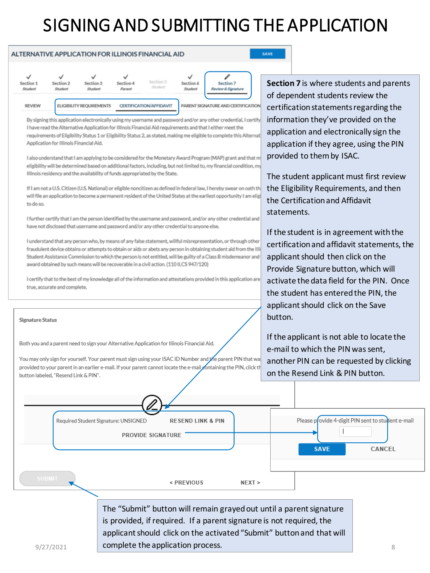# SIGNING AND SUBMITTING THE APPLICATION



By signing this application electronically using my username and password and/or any other credential, I certify I have read the Alternative Application for Illinois Financial Aid requirements and that I either meet the requirements of Eligibility Status 1 or Eligibility Status 2, as stated, making me eligible to complete this Alternat Application for Illinois Financial Aid.

I also understand that I am applying to be considered for the Monetary Award Program (MAP) grant and that m eligibility will be determined based on additional factors, including, but not limited to, my financial condition, my Illinois residency and the availability of funds appropriated by the State.

If I am not a U.S. Citizen (U.S. National) or eligible noncitizen as defined in federal law, I hereby swear on oath th will file an application to become a permanent resident of the United States at the earliest opportunity I am elig to do so.

I further certify that I am the person identified by the username and password, and/or any other credential and have not disclosed that username and password and/or any other credential to anyone else.

I understand that any person who, by means of any false statement, willful misrepresentation, or through other fraudulent device obtains or attempts to obtain or alds or abets any person in obtaining student ald from the IIII Student Assistance Commission to which the person is not entitled, will be guilty of a Class B misdemeanor and award obtained by such means will be recoverable in a civil action. (110 ILCS 947/120)

I certify that to the best of my knowledge all of the information and attestations provided in this application are true, accurate and complete.

#### **Signature Status**

Both you and a parent need to sign your Alternative Application for Illinois Financial Aid.

Required Student Signature: UNSIGNED

You may only sign for yourself. Your parent must sign using your ISAC ID Number and the parent PIN that wa: provided to your parent in an earlier e-mail. If your parent cannot locate the e-mail containing the PIN, click th button labeled. "Resend Link & PIN".

PROVIDE SIGNATURE

**Section 7** is where students and parents of dependent students review the certification statements regarding the information they've provided on the application and electronically sign the application if they agree, using the PIN provided to them by ISAC.

The student applicant must first review the Eligibility Requirements, and then the Certification and Affidavit statements.

If the student is in agreement with the certification and affidavit statements, the applicant should then click on the Provide Signature button, which will activate the data field for the PIN. Once the student has entered the PIN, the applicant should click on the Save button.

If the applicant is not able to locate the e-mail to which the PIN was sent, another PIN can be requested by clicking on the Resend Link & PIN button.

Please provide 4-digit PIN sent to student e-mail

 $\overline{\phantom{a}}$ 

**SAVE** 

 $9/27/2021$  complete the application process. The "Submit" button will remain grayed out until a parent signature is provided, if required. If a parent signature is not required, the applicant should click on the activated "Submit" button and that will

 $NEXT$ 

**RESEND LINK & PIN** 

< PREVIOUS

CANCEL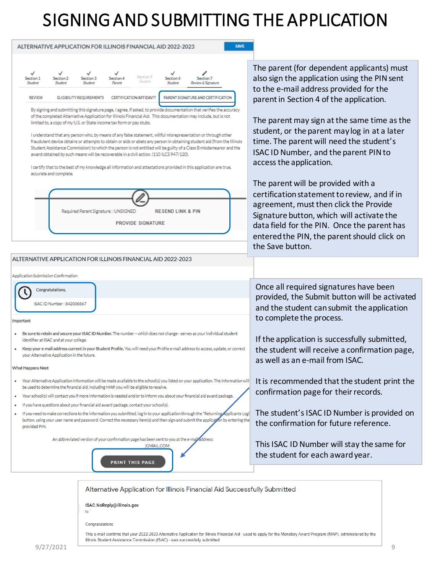## SIGNING AND SUBMITTING THE APPLICATION



Congratulations

This e-mail confirms that your 2022-2023 Alternative Application for Illinois Financial Aid - used to apply for the Monetary Award Program (MAP), administered by the Illinois Student Assistance Commission (ISAC) - was successfully submitted.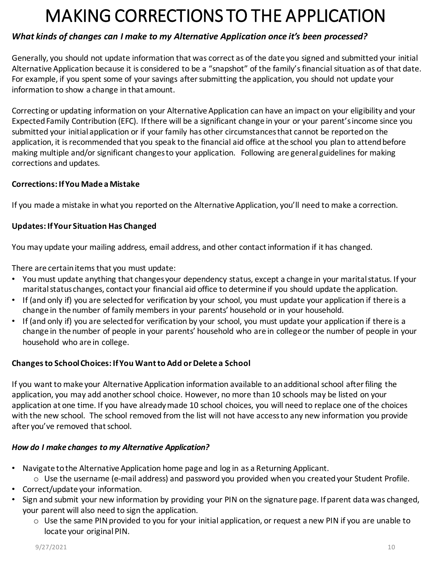## MAKING CORRECTIONS TO THE APPLICATION

#### *What kinds of changes can I make to my Alternative Application once it's been processed?*

Generally, you should not update information that was correct as of the date you signed and submitted your initial Alternative Application because it is considered to be a "snapshot" of the family's financial situation as of that date. For example, if you spent some of your savings after submitting the application, you should not update your information to show a change in that amount.

Correcting or updating information on your Alternative Application can have an impact on your eligibility and your Expected Family Contribution (EFC). If there will be a significant change in your or your parent's income since you submitted your initial application or if your family has other circumstances that cannot be reported on the application, it is recommended that you speak to the financial aid office at the school you plan to attend before making multiple and/or significant changes to your application. Following are general guidelines for making corrections and updates.

#### **Corrections: If You Made a Mistake**

If you made a mistake in what you reported on the Alternative Application, you'll need to make a correction.

#### **Updates: If Your Situation Has Changed**

You may update your mailing address, email address, and other contact information if it has changed.

There are certain items that you must update:

- You must update anything that changes your dependency status, except a change in your marital status. If your marital status changes, contact your financial aid office to determine if you should update the application.
- If (and only if) you are selected for verification by your school, you must update your application if there is a change in the number of family members in your parents' household or in your household.
- If (and only if) you are selected for verification by your school, you must update your application if there is a change in the number of people in your parents' household who are in collegeor the number of people in your household who are in college.

#### **Changes to School Choices: If You Want to Add or Delete a School**

If you want to make your Alternative Application information available to an additional school after filing the application, you may add another school choice. However, no more than 10 schools may be listed on your application at one time. If you have already made 10 school choices, you will need to replace one of the choices with the new school. The school removed from the list will not have access to any new information you provide after you've removed that school.

#### *How do I make changes to my Alternative Application?*

- Navigate to the Alternative Application home page and log in as a Returning Applicant.
	- $\circ$  Use the username (e-mail address) and password you provided when you created your Student Profile.
- Correct/update your information.
- Sign and submit your new information by providing your PIN on the signature page. If parent data was changed, your parent will also need to sign the application.
	- $\circ$  Use the same PIN provided to you for your initial application, or request a new PIN if you are unable to locate your original PIN.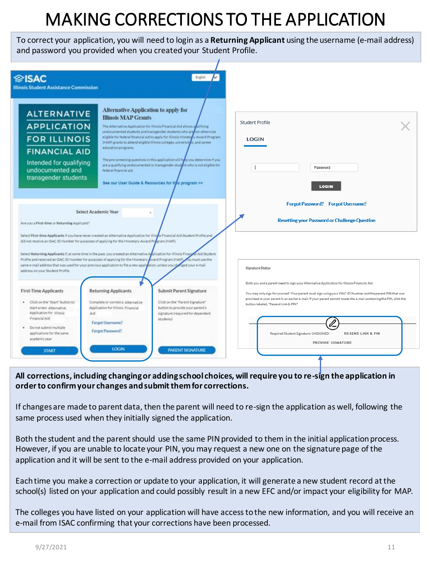# MAKING CORRECTIONS TO THE APPLICATION

To correct your application, you will need to login as a **Returning Applicant** using the username (e-mail address) and password you provided when you created your Student Profile.



**All corrections, including changing or adding school choices, will require you to re-sign the application in order to confirm your changes and submit them for corrections.** 

If changes are made to parent data, then the parent will need to re-sign the application as well, following the same process used when they initially signed the application.

Both the student and the parent should use the same PIN provided to them in the initial application process. However, if you are unable to locate your PIN, you may request a new one on the signature page of the application and it will be sent to the e-mail address provided on your application.

Each time you make a correction or update to your application, it will generate a new student record at the school(s) listed on your application and could possibly result in a new EFC and/or impact your eligibility for MAP.

The colleges you have listed on your application will have access to the new information, and you will receive an e-mail from ISAC confirming that your corrections have been processed.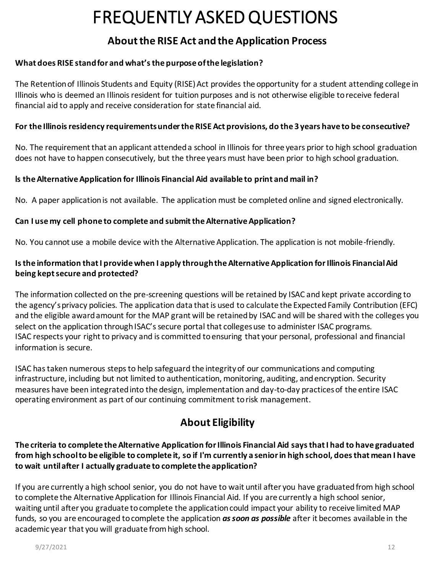### **About the RISE Act and the Application Process**

#### **What does RISE stand for and what's the purpose of the legislation?**

The Retention of Illinois Students and Equity (RISE) Act provides the opportunity for a student attending college in Illinois who is deemed an Illinois resident for tuition purposes and is not otherwise eligible to receive federal financial aid to apply and receive consideration for state financial aid.

#### **For the Illinois residency requirements under the RISE Act provisions, do the 3 years have to be consecutive?**

No. The requirement that an applicant attended a school in Illinois for three years prior to high school graduation does not have to happen consecutively, but the three years must have been prior to high school graduation.

#### **ls the Alternative Application for Illinois Financial Aid available to print and mail in?**

No. A paper application is not available. The application must be completed online and signed electronically.

#### **Can I use my cell phone to complete and submit the Alternative Application?**

No. You cannot use a mobile device with the Alternative Application. The application is not mobile-friendly.

#### **Is the information that I provide when I apply through the Alternative Application for Illinois Financial Aid being kept secure and protected?**

The information collected on the pre-screening questions will be retained by ISAC and kept private according to the agency's privacy policies. The application data that is used to calculate the Expected Family Contribution (EFC) and the eligible award amount for the MAP grant will be retained by ISAC and will be shared with the colleges you select on the application through ISAC's secure portal that colleges use to administer ISAC programs. ISAC respects your right to privacy and is committed to ensuring that your personal, professional and financial information is secure.

ISAC has taken numerous steps to help safeguard the integrity of our communications and computing infrastructure, including but not limited to authentication, monitoring, auditing, and encryption. Security measures have been integrated into the design, implementation and day-to-day practices of the entire ISAC operating environment as part of our continuing commitment to risk management.

### **About Eligibility**

#### **The criteria to complete the Alternative Application for Illinois Financial Aid says that I had to have graduated from high school to be eligible to complete it, so if I'm currently a senior in high school, does that mean I have to wait until after I actually graduate to complete the application?**

If you are currently a high school senior, you do not have to wait until after you have graduated from high school to complete the Alternative Application for Illinois Financial Aid. If you are currently a high school senior, waiting until after you graduate to complete the application could impact your ability to receive limited MAP funds, so you are encouraged to complete the application *as soon as possible* after it becomes available in the academic year that you will graduate from high school.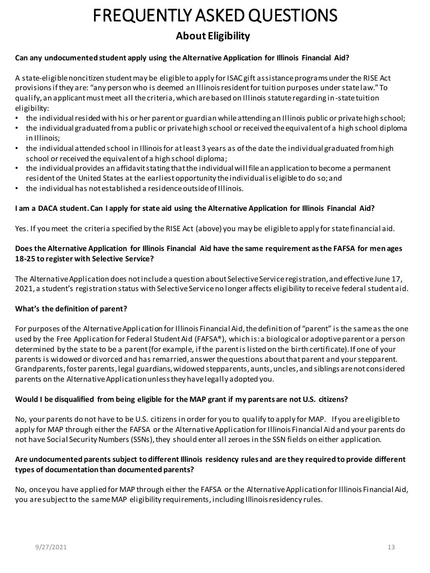### **About Eligibility**

#### **Can any undocumented student apply using the Alternative Application for Illinois Financial Aid?**

A state-eligible noncitizen student may be eligible to apply for ISAC gift assistance programs under the RISE Act provisions if they are: "any person who is deemed an Illinois resident for tuition purposes under state law." To qualify, an applicant must meet all the criteria, which are based on Illinois statute regarding in-state tuition eligibility:

- the individual resided with his or her parent or guardian while attending an Illinois public or private high school;
- the individual graduated from a public or private high school or received the equivalent of a high school diploma in Illinois;
- the individual attended school in Illinois for at least 3 years as of the date the individual graduated from high school or received the equivalent of a high school diploma;
- the individual provides an affidavit stating that the individual will file an application to become a permanent resident of the United States at the earliest opportunity the individual is eligible to do so; and
- the individual has not established a residence outside of Illinois.

#### **I am a DACA student. Can I apply for state aid using the Alternative Application for Illinois Financial Aid?**

Yes. If you meet the criteria specified by the RISE Act (above) you may be eligible to apply for state financial aid.

#### **Does the Alternative Application for Illinois Financial Aid have the same requirement as the FAFSA for men ages 18-25 to register with Selective Service?**

The Alternative Application does not include a question about Selective Service registration, and effective June 17, 2021, a student's registration status with Selective Service no longer affects eligibility to receive federal student aid.

#### **What's the definition of parent?**

For purposes of the Alternative Application for Illinois Financial Aid, the definition of "parent" is the same as the one used by the Free Application for Federal Student Aid (FAFSA®), which is: a biological or adoptive parent or a person determined by the state to be a parent (for example, if the parent is listed on the birth certificate). If one of your parents is widowed or divorced and has remarried, answer the questions about that parent and your stepparent. Grandparents, foster parents, legal guardians, widowed stepparents, aunts, uncles, and siblings are not considered parents on the Alternative Application unless they have legally adopted you.

#### **Would I be disqualified from being eligible for the MAP grant if my parents are not U.S. citizens?**

No, your parents do not have to be U.S. citizens in order for you to qualify to apply for MAP. If you are eligible to apply for MAP through either the FAFSA or the Alternative Application for Illinois Financial Aid and your parents do not have Social Security Numbers (SSNs), they should enter all zeroes in the SSN fields on either application.

#### **Are undocumented parents subject to different Illinois residency rules and are they required to provide different types of documentation than documented parents?**

No, once you have applied for MAP through either the FAFSA or the Alternative Application for Illinois Financial Aid, you are subject to the same MAP eligibility requirements, including Illinois residency rules.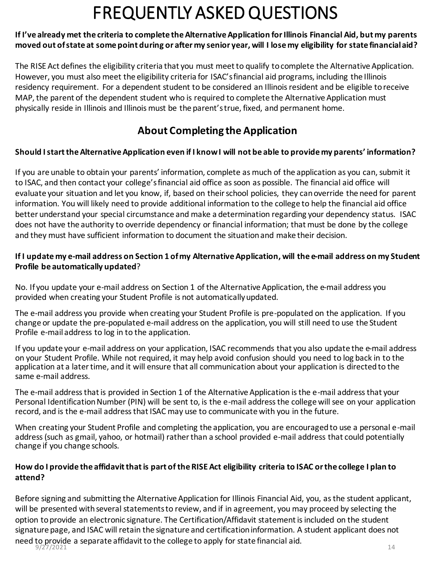#### **If I've already met the criteria to complete the Alternative Application for Illinois Financial Aid, but my parents moved out of state at some point during or after my senior year, will I lose my eligibility for state financial aid?**

The RISE Act defines the eligibility criteria that you must meet to qualify to complete the Alternative Application. However, you must also meet the eligibility criteria for ISAC's financial aid programs, including the Illinois residency requirement. For a dependent student to be considered an Illinois resident and be eligible to receive MAP, the parent of the dependent student who is required to complete the Alternative Application must physically reside in Illinois and Illinois must be the parent's true, fixed, and permanent home.

### **About Completing the Application**

#### **Should I start the Alternative Application even if I know I will not be able to provide my parents' information?**

If you are unable to obtain your parents' information, complete as much of the application as you can, submit it to ISAC, and then contact your college's financial aid office as soon as possible. The financial aid office will evaluate your situation and let you know, if, based on their school policies, they can override the need for parent information. You will likely need to provide additional information to the college to help the financial aid office better understand your special circumstance and make a determination regarding your dependency status. ISAC does not have the authority to override dependency or financial information; that must be done by the college and they must have sufficient information to document the situation and make their decision.

#### **If I update my e-mail address on Section 1 of my Alternative Application, will the e-mail address on my Student Profile be automatically updated**?

No. If you update your e-mail address on Section 1 of the Alternative Application, the e-mail address you provided when creating your Student Profile is not automatically updated.

The e-mail address you provide when creating your Student Profile is pre-populated on the application. If you change or update the pre-populated e-mail address on the application, you will still need to use the Student Profile e-mail address to log in to the application.

If you update your e-mail address on your application, ISAC recommends that you also update the e-mail address on your Student Profile. While not required, it may help avoid confusion should you need to log back in to the application at a later time, and it will ensure that all communication about your application is directed to the same e-mail address.

The e-mail address that is provided in Section 1 of the Alternative Application is the e-mail address that your Personal Identification Number (PIN) will be sent to, is the e-mail address the college will see on your application record, and is the e-mail address that ISAC may use to communicate with you in the future.

When creating your Student Profile and completing the application, you are encouraged to use a personal e-mail address (such as gmail, yahoo, or hotmail) rather than a school provided e-mail address that could potentially change if you change schools.

#### **How do I provide the affidavit that is part of the RISE Act eligibility criteria to ISAC or the college I plan to attend?**

Before signing and submitting the Alternative Application for Illinois Financial Aid, you, as the student applicant, will be presented with several statements to review, and if in agreement, you may proceed by selecting the option to provide an electronic signature. The Certification/Affidavit statement is included on the student signature page, and ISAC will retain the signature and certification information. A student applicant does not need to provide a separate affidavit to the college to apply for state financial aid.<br> $9/27/2021$  $9/27/2021$  14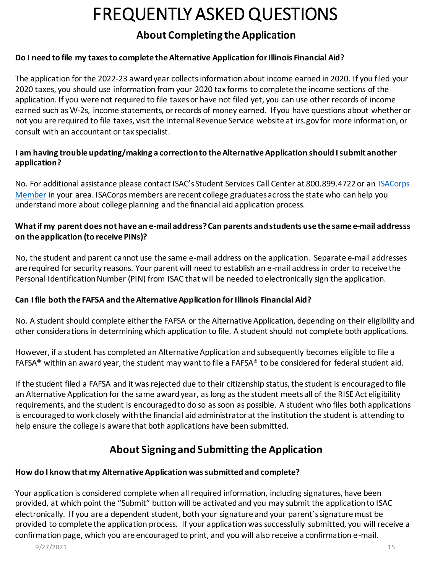### **About Completing the Application**

#### **Do I need to file my taxes to complete the Alternative Application for Illinois Financial Aid?**

The application for the 2022-23 award year collects information about income earned in 2020. If you filed your 2020 taxes, you should use information from your 2020 tax forms to complete the income sections of the application. If you were not required to file taxes or have not filed yet, you can use other records of income earned such as W-2s, income statements, or records of money earned. If you have questions about whether or not you are required to file taxes, visit the Internal Revenue Service website at irs.gov for more information, or consult with an accountant or tax specialist.

#### **I am having trouble updating/making a correction to the Alternative Application should I submit another application?**

[No. For additional assistance please contact ISAC's Student Services Call Center at 800.899.4722 or an](https://studentportal.isac.org/web/guest/student/?p_p_id=Student_WAR_Studentportlet&_Student_WAR_Studentportlet__facesViewIdRender=/views/isacorpsMemberSearch.xhtml) ISACorps Member in your area. ISACorps members are recent college graduates across the state who can help you understand more about college planning and the financial aid application process.

#### **What if my parent does not have an e-mail address? Can parents and students use the same e-mail addresss on the application (to receive PINs)?**

No, the student and parent cannot use the same e-mail address on the application. Separate e-mail addresses are required for security reasons. Your parent will need to establish an e-mail address in order to receive the Personal Identification Number (PIN) from ISAC that will be needed to electronically sign the application.

#### **Can I file both the FAFSA and the Alternative Application for Illinois Financial Aid?**

No. A student should complete either the FAFSA or the Alternative Application, depending on their eligibility and other considerations in determining which application to file. A student should not complete both applications.

However, if a student has completed an Alternative Application and subsequently becomes eligible to file a FAFSA® within an award year, the student may want to file a FAFSA® to be considered for federal student aid.

If the student filed a FAFSA and it was rejected due to their citizenship status, the student is encouraged to file an Alternative Application for the same award year, as long asthe student meets all of the RISE Act eligibility requirements, and the student is encouraged to do so as soon as possible. A student who files both applications is encouraged to work closely with the financial aid administrator at the institution the student is attending to help ensure the college is aware that both applications have been submitted.

### **About Signing and Submitting the Application**

#### **How do I know that my Alternative Application was submitted and complete?**

Your application is considered complete when all required information, including signatures, have been provided, at which point the "Submit" button will be activated and you may submit the application to ISAC electronically. If you are a dependent student, both your signature and your parent's signature must be provided to complete the application process. If your application was successfully submitted, you will receive a confirmation page, which you are encouraged to print, and you will also receive a confirmation e-mail.